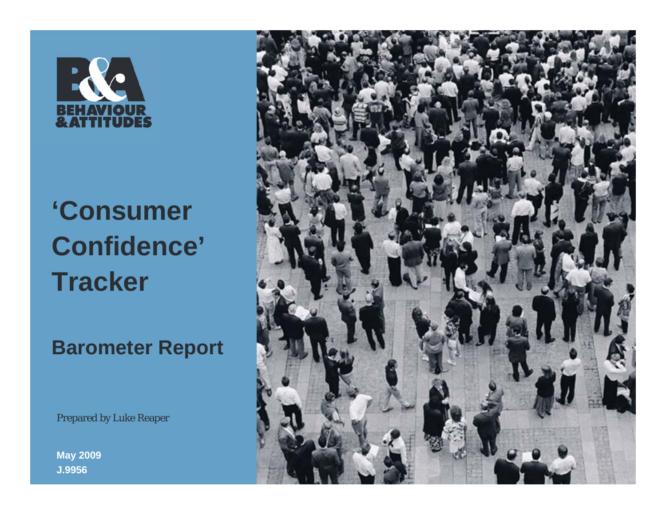

# **'Consumer Confidence' Tracker**

**Barometer Report**

Prepared by Luke Reaper

**May 2009 J.9956**

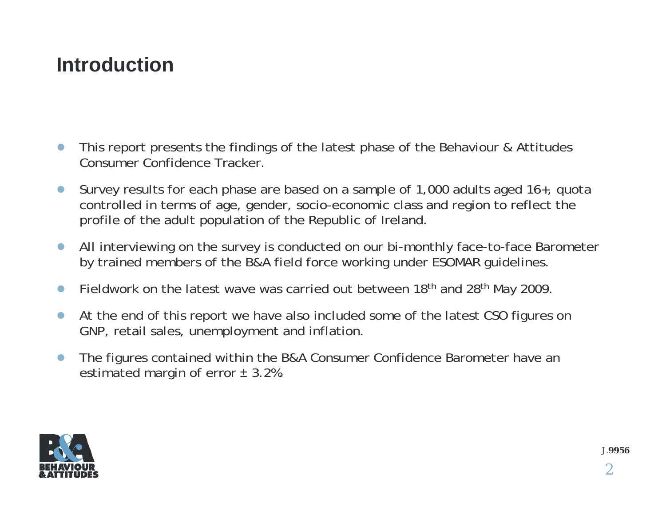#### **Introduction**

- $\bullet$  This report presents the findings of the latest phase of the Behaviour & Attitudes Consumer Confidence Tracker.
- $\bullet$  Survey results for each phase are based on a sample of 1,000 adults aged 16+, quota controlled in terms of age, gender, socio-economic class and region to reflect the profile of the adult population of the Republic of Ireland.
- $\bullet$  All interviewing on the survey is conducted on our bi-monthly face-to-face Barometer by trained members of the B&A field force working under ESOMAR guidelines.
- $\bullet$ Fieldwork on the latest wave was carried out between 18<sup>th</sup> and 28<sup>th</sup> May 2009.
- $\bullet$  At the end of this report we have also included some of the latest CSO figures on GNP, retail sales, unemployment and inflation.
- $\bullet$  The figures contained within the B&A Consumer Confidence Barometer have an estimated margin of error  $\pm$  3.2%.

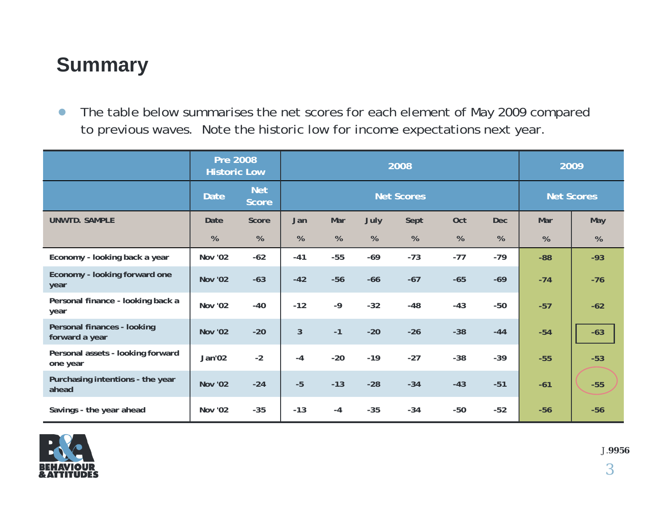### **Summary**

 $\bullet$  The table below summarises the net scores for each element of May 2009 compared to previous waves. Note the historic low for income expectations next year.

|                                               | <b>Pre 2008</b><br><b>Historic Low</b> |                            | 2008              |       |       |       |       |                   | 2009  |       |
|-----------------------------------------------|----------------------------------------|----------------------------|-------------------|-------|-------|-------|-------|-------------------|-------|-------|
|                                               | <b>Date</b>                            | <b>Net</b><br><b>Score</b> | <b>Net Scores</b> |       |       |       |       | <b>Net Scores</b> |       |       |
| <b>UNWTD. SAMPLE</b>                          | Date                                   | Score                      | Jan               | Mar   | July  | Sept  | Oct   | <b>Dec</b>        | Mar   | May   |
|                                               | %                                      | %                          | %                 | %     | $\%$  | %     | %     | %                 | %     | %     |
| Economy - looking back a year                 | Nov '02                                | $-62$                      | $-41$             | $-55$ | $-69$ | $-73$ | $-77$ | $-79$             | $-88$ | $-93$ |
| Economy - looking forward one<br>year         | <b>Nov '02</b>                         | $-63$                      | $-42$             | $-56$ | $-66$ | $-67$ | $-65$ | $-69$             | $-74$ | $-76$ |
| Personal finance - looking back a<br>year     | <b>Nov '02</b>                         | $-40$                      | $-12$             | $-9$  | $-32$ | $-48$ | $-43$ | $-50$             | $-57$ | $-62$ |
| Personal finances - looking<br>forward a year | <b>Nov '02</b>                         | $-20$                      | 3                 | $-1$  | $-20$ | $-26$ | $-38$ | $-44$             | $-54$ | $-63$ |
| Personal assets - looking forward<br>one year | Jan'02                                 | $-2$                       | $-4$              | $-20$ | $-19$ | $-27$ | $-38$ | $-39$             | $-55$ | $-53$ |
| Purchasing intentions - the year<br>ahead     | <b>Nov '02</b>                         | $-24$                      | $-5$              | $-13$ | $-28$ | $-34$ | $-43$ | $-51$             | $-61$ | $-55$ |
| Savings - the year ahead                      | <b>Nov '02</b>                         | $-35$                      | $-13$             | $-4$  | $-35$ | $-34$ | $-50$ | $-52$             | $-56$ | $-56$ |

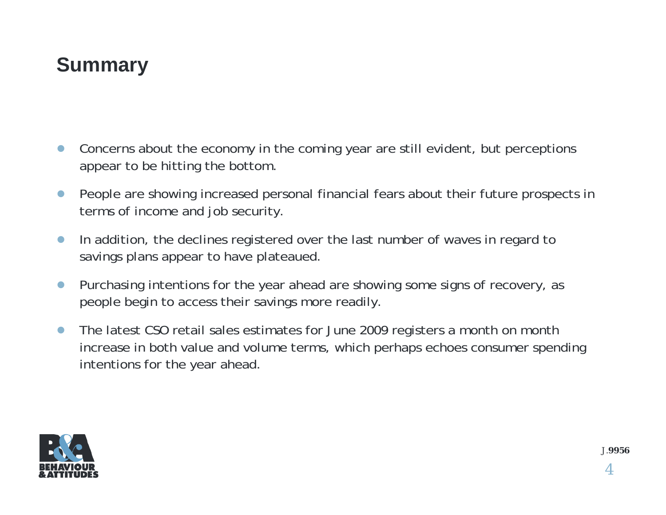#### **Summary**

- $\bullet$  Concerns about the economy in the coming year are still evident, but perceptions appear to be hitting the bottom.
- $\bullet$  People are showing increased personal financial fears about their future prospects in terms of income and job security.
- $\bullet$  In addition, the declines registered over the last number of waves in regard to savings plans appear to have plateaued.
- $\bullet$  Purchasing intentions for the year ahead are showing some signs of recovery, as people begin to access their savings more readily.
- $\bullet$  The latest CSO retail sales estimates for June 2009 registers a month on month increase in both value and volume terms, which perhaps echoes consumer spending intentions for the year ahead.

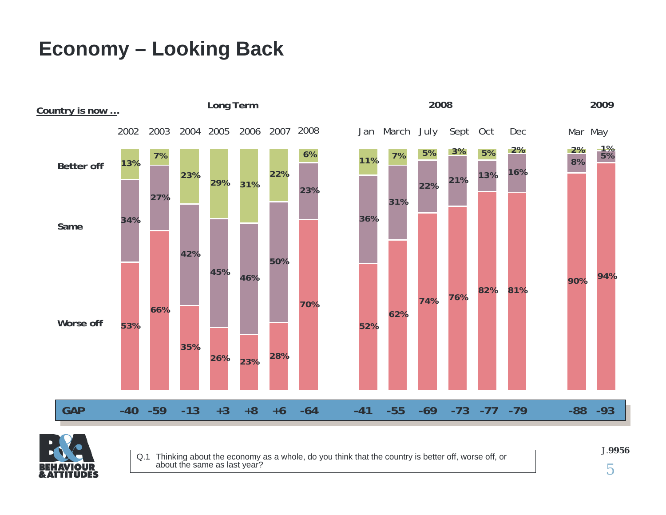### **Economy – Looking Back**





Q.1 Thinking about the economy as a whole, do you think that the country is better off, worse off, or about the same as last year?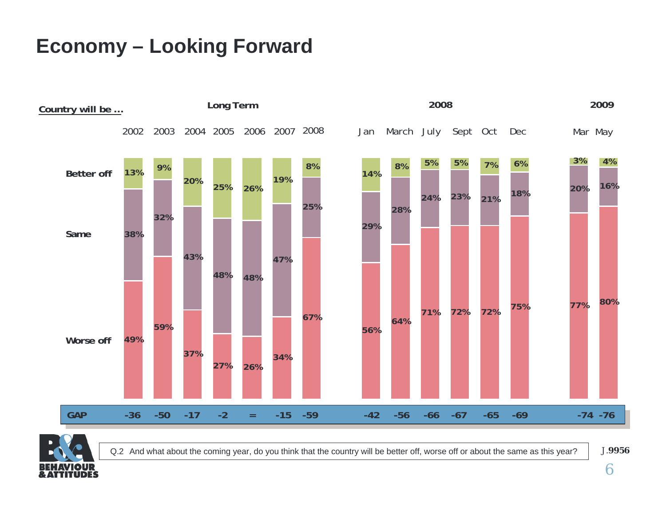### **Economy – Looking Forward**





Q.2 And what about the coming year, do you think that the country will be better off, worse off or about the same as this year?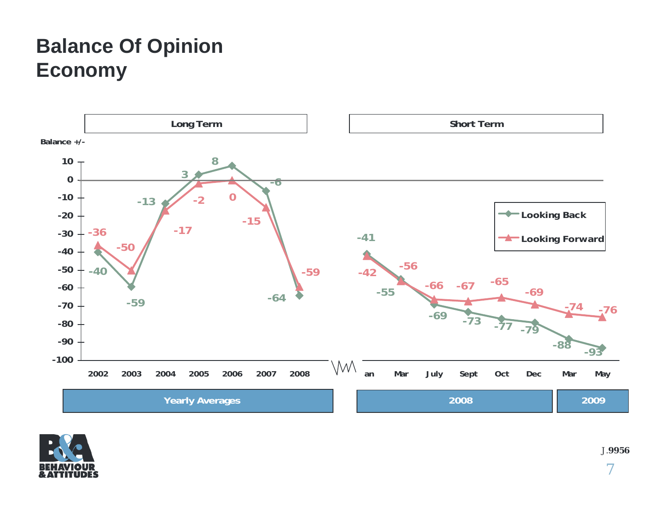### **Balance Of Opinion Economy**



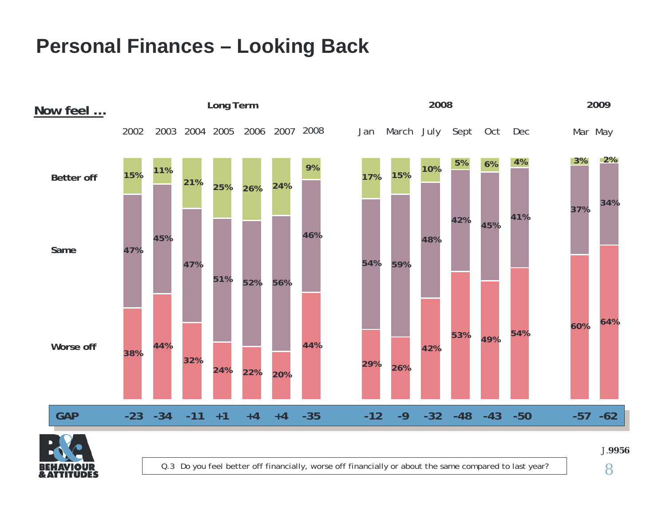### **Personal Finances – Looking Back**





Q.3 Do you feel better off financially, worse off financially or about the same compared to last year?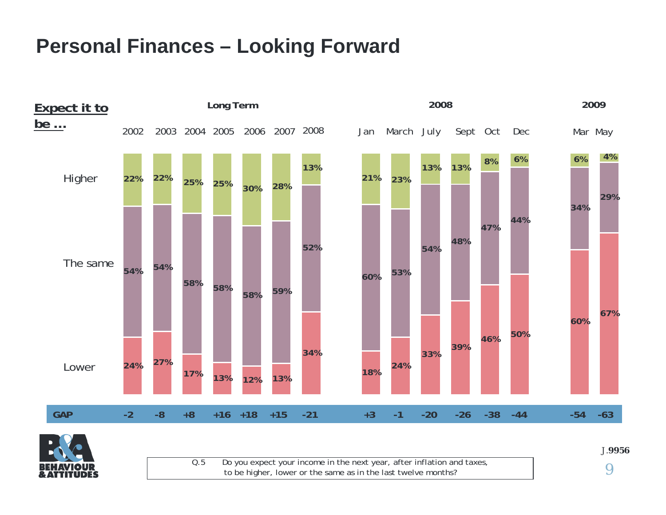#### **Personal Finances – Looking Forward**





Q. 5Do you expect your incom e in the next year, after inflation and taxes, to be higher, lower or the same as in the last twelve months?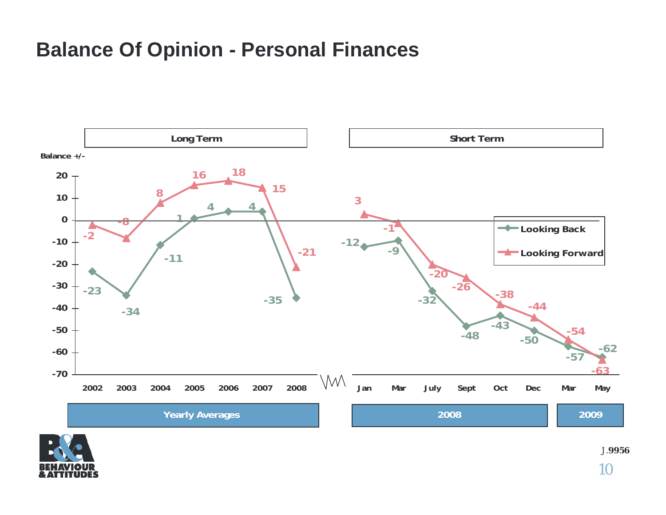#### **Balance Of Opinion - Personal Finances**



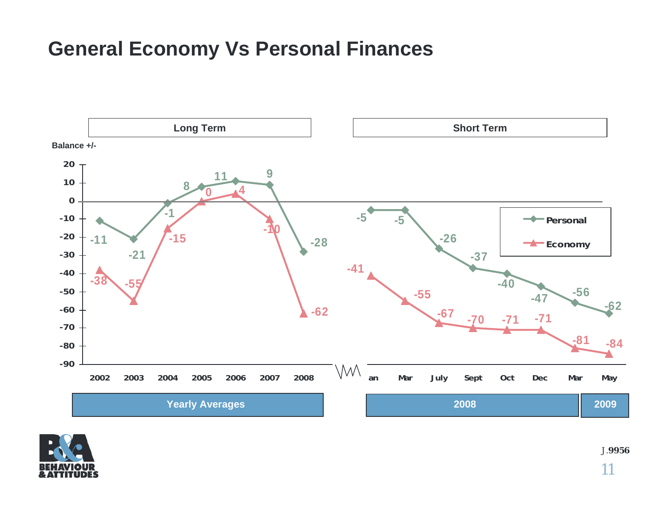#### **General Economy Vs Personal Finances**



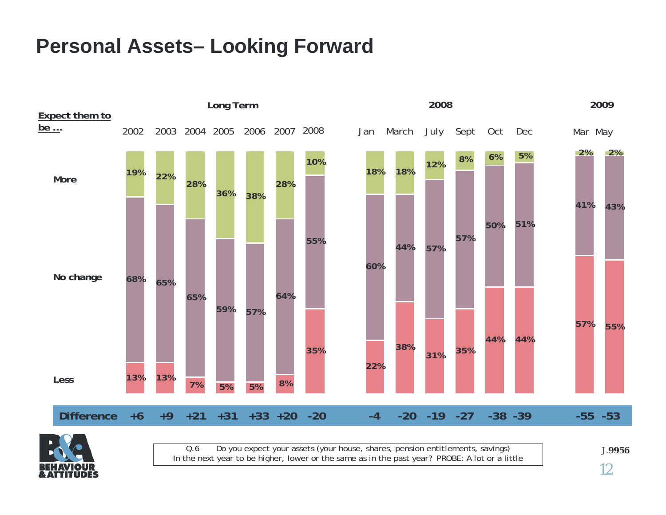#### **Personal Assets– Looking Forward**





Q.6Do you expect your assets (your house, shares, pension e ntitlements, savings) In the next year to be higher, lower or the same as in the past year? PROBE: A lot or a little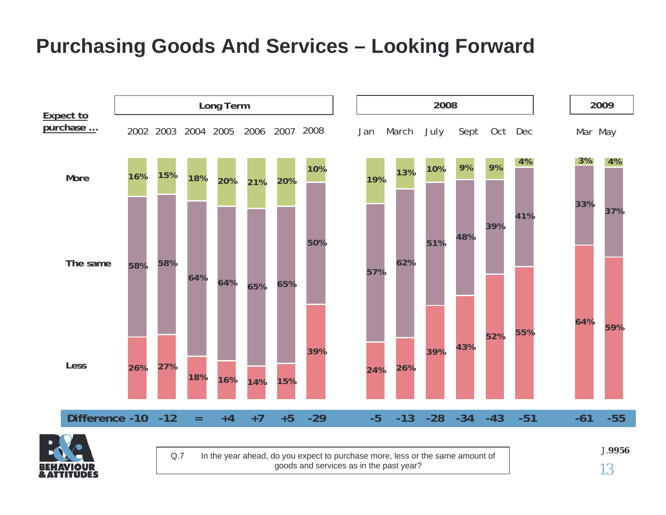#### **Purchasing Goods And Services – Looking Forward**





Q.7 In the year ahead, do you expect to purchase more, less or the same amount of goods and services as in the past year?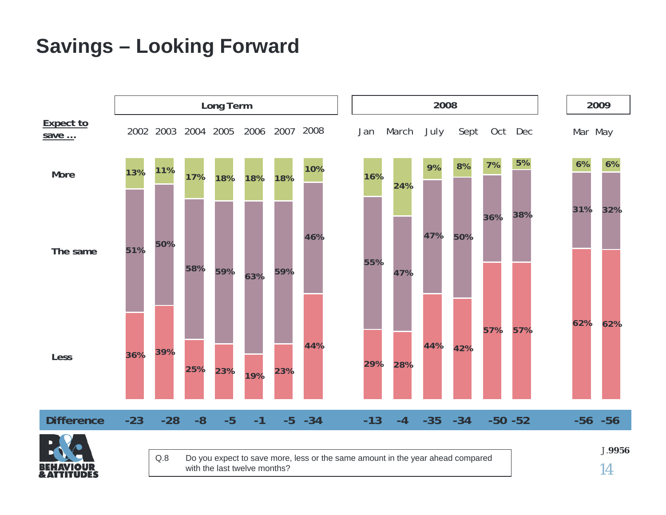#### **Savings – Looking Forward**

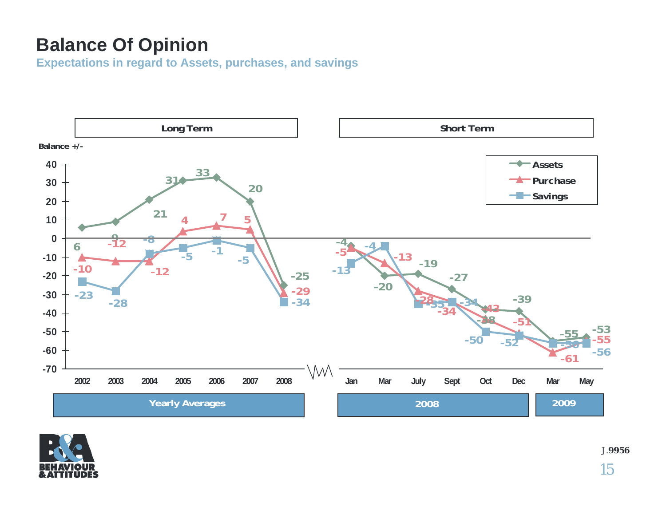#### **Balance Of Opinion**

**Expectations in regard to Assets, purchases, and savings**



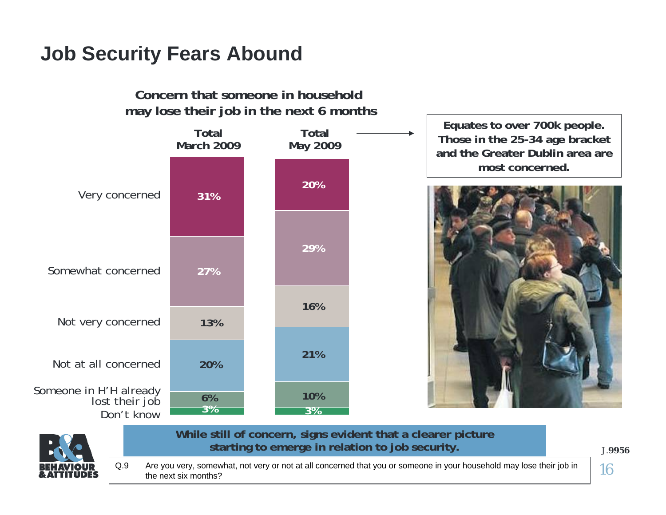## **Job Security Fears Abound**

**Concern that someone in household may lose their job in the next 6 months**



**Equates to over 700k people. Those in the 25-34 age bracket and the Greater Dublin area are most concerned.**





**While still of concern, signs evident that a clearer picture starting to emerge in relation to job security.**

J.**9956**

16Q.9 Are you very, somewhat, not very or not at all concerned that you or someone in your household may lose their job in the next six months?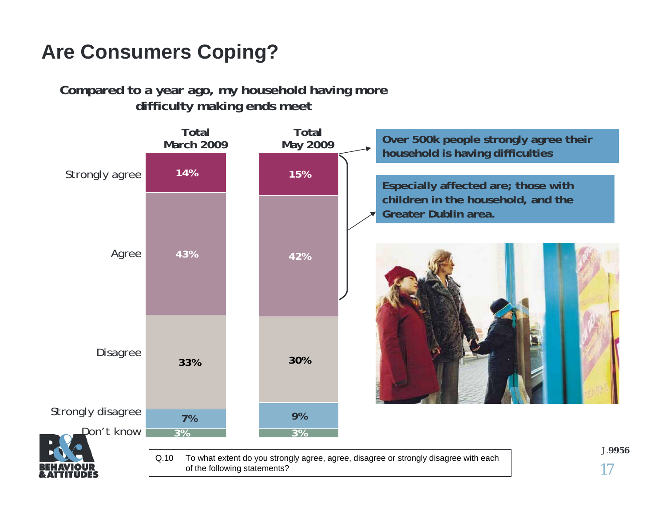#### **Are Consumers Coping?**

**Compared to a year ago, my household having more difficulty making ends meet**

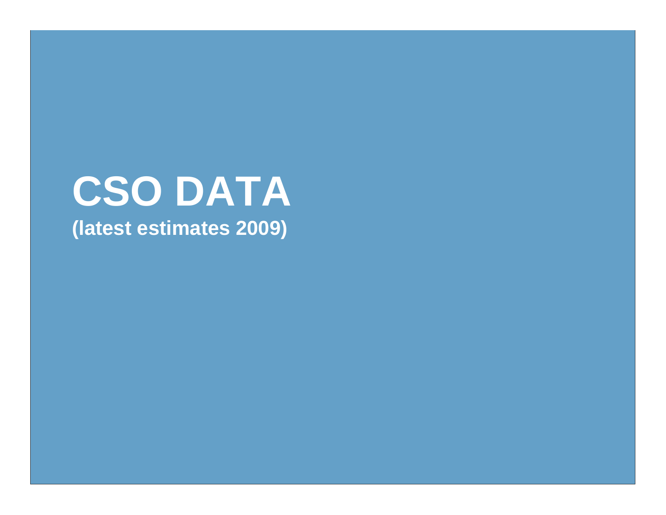# **CSO DATA (latest estimates 2009)**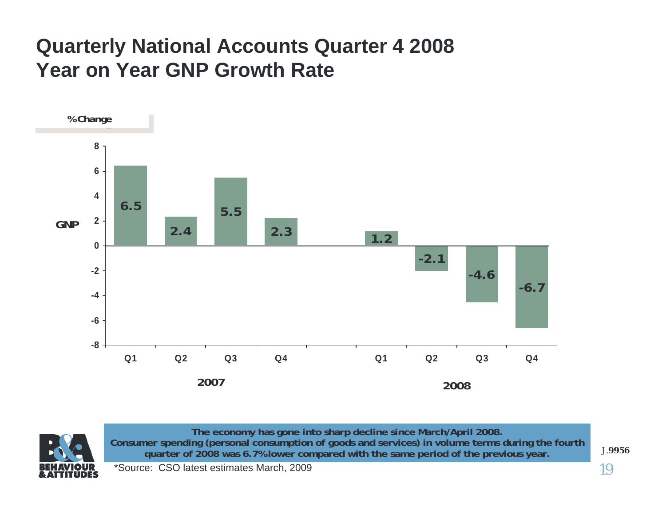#### **Quarterly National Accounts Quarter 4 2008 Year on Year GNP Growth Rate**





**The economy has gone i nto sharp decline since March/April 2008.**  Consumer spending (personal consumption of goods and services) in volume terms during the fourth **quarter of 2008 was 6.7% lower compared with the same period of the previous year.**

\*So urce: CSO latest estimates March, 2009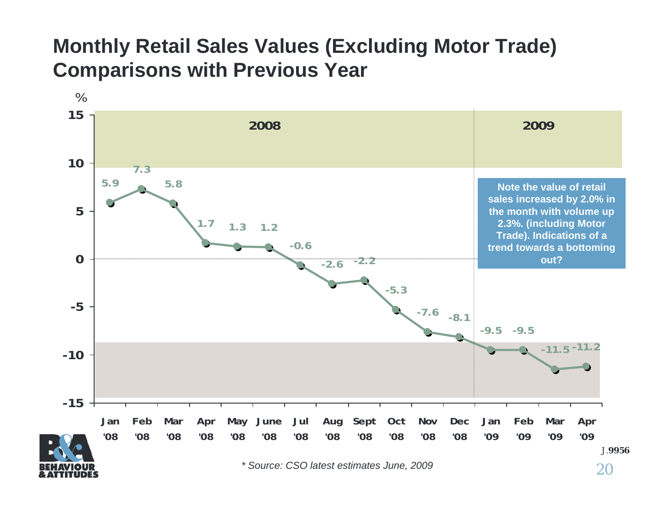#### **Monthly Retail Sales Values (Excluding Motor Trade) Comparisons with Previous Year**

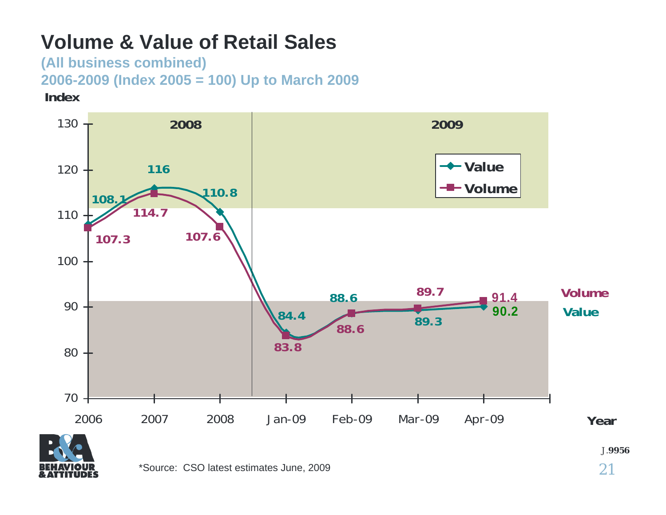#### **Volume & Value of Retail Sales**

**(All business combined) 2006-2009 (Index 2005 = 100) Up to March 2009 Index**



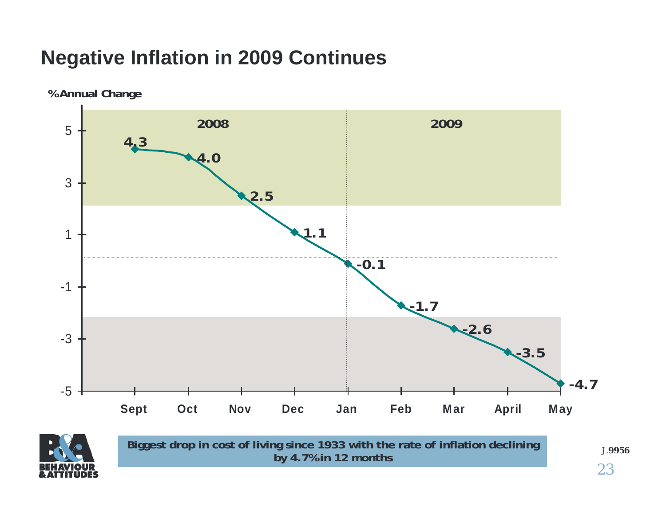## **Negative Inflation in 2009 Continues**

**% Annual Change**

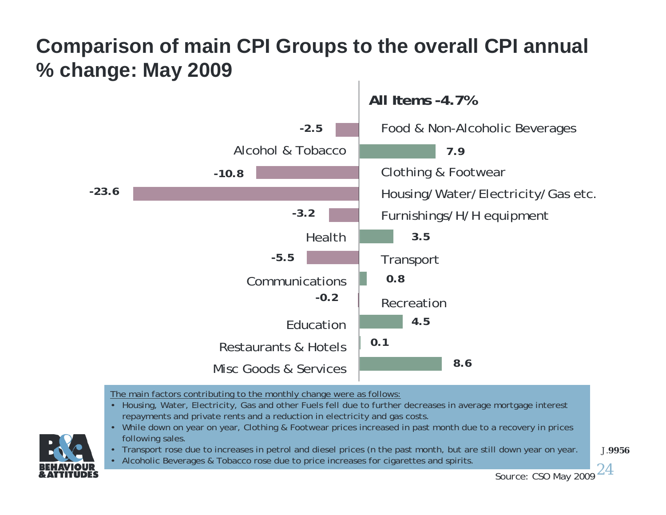#### **Comparison of main CPI Groups to the overall CPI annual % change: May 2009**



The main factors contributing to the monthly change were as follows:

- Housing, Water, Electricity, Gas and other Fuels fell due to further decreases in average mortgage interest repayments and private rents and a reduction in electricity and gas costs.
- While down on year on year, Clothing & Footwear prices increased in past month due to a recovery in prices following sales.
- Transport rose due to increases in petrol and diesel prices (n the past month, but are still down year on year.
- Alcoholic Beverages & Tobacco rose due to price increases for cigarettes and spirits.

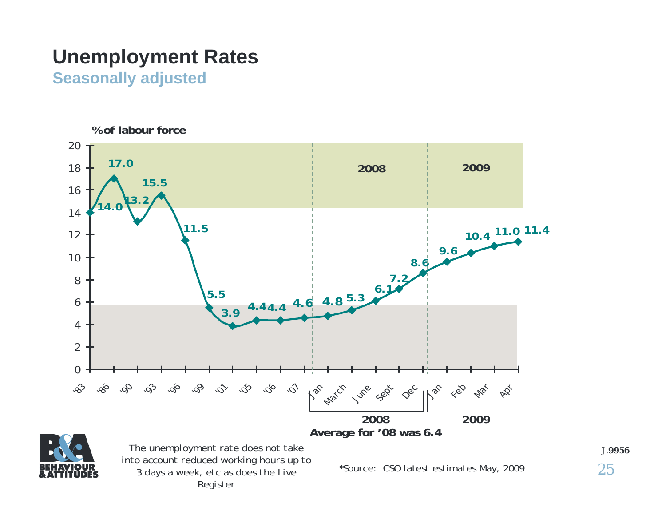#### **Unemployment Rates**

**Seasonally adjusted**





*The unemployment rate does not take into account reduced working hours up to 3 days a week, etc as does the Live Register*

\*Sour ce: CSO latest estimates May, 2009

25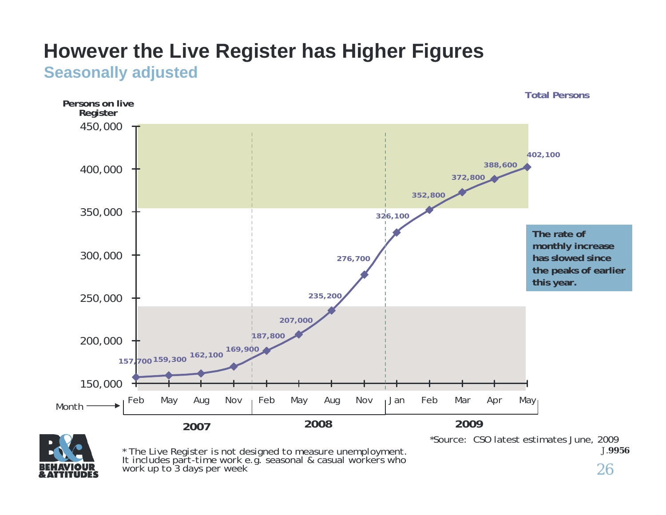#### **However the Live Register has Higher Figures Seasonally adjusted**





*\* The Liv e R egister is not designed t o m easure unemploym ent. It includes part-time work e.g. seasonal & casual workers who work up to 3 days per week*